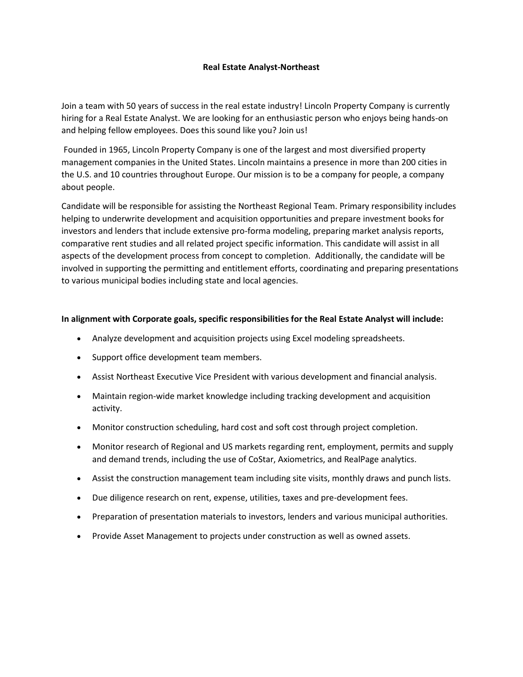## **Real Estate Analyst-Northeast**

Join a team with 50 years of success in the real estate industry! Lincoln Property Company is currently hiring for a Real Estate Analyst. We are looking for an enthusiastic person who enjoys being hands-on and helping fellow employees. Does this sound like you? Join us!

Founded in 1965, Lincoln Property Company is one of the largest and most diversified property management companies in the United States. Lincoln maintains a presence in more than 200 cities in the U.S. and 10 countries throughout Europe. Our mission is to be a company for people, a company about people.

Candidate will be responsible for assisting the Northeast Regional Team. Primary responsibility includes helping to underwrite development and acquisition opportunities and prepare investment books for investors and lenders that include extensive pro-forma modeling, preparing market analysis reports, comparative rent studies and all related project specific information. This candidate will assist in all aspects of the development process from concept to completion. Additionally, the candidate will be involved in supporting the permitting and entitlement efforts, coordinating and preparing presentations to various municipal bodies including state and local agencies.

### **In alignment with Corporate goals, specific responsibilities for the Real Estate Analyst will include:**

- Analyze development and acquisition projects using Excel modeling spreadsheets.
- Support office development team members.
- Assist Northeast Executive Vice President with various development and financial analysis.
- Maintain region-wide market knowledge including tracking development and acquisition activity.
- Monitor construction scheduling, hard cost and soft cost through project completion.
- Monitor research of Regional and US markets regarding rent, employment, permits and supply and demand trends, including the use of CoStar, Axiometrics, and RealPage analytics.
- Assist the construction management team including site visits, monthly draws and punch lists.
- Due diligence research on rent, expense, utilities, taxes and pre-development fees.
- Preparation of presentation materials to investors, lenders and various municipal authorities.
- Provide Asset Management to projects under construction as well as owned assets.